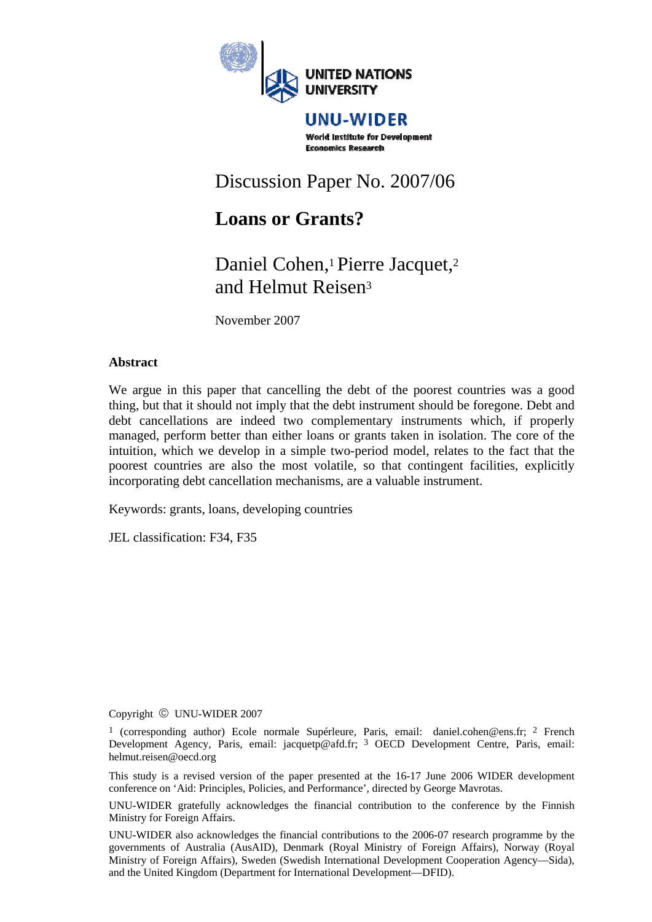

#### **UNU-WIDER World Institute for Development Economics Research**

# Discussion Paper No. 2007/06

# **Loans or Grants?**

# Daniel Cohen,<sup>1</sup> Pierre Jacquet,<sup>2</sup> and Helmut Reisen3

November 2007

## **Abstract**

We argue in this paper that cancelling the debt of the poorest countries was a good thing, but that it should not imply that the debt instrument should be foregone. Debt and debt cancellations are indeed two complementary instruments which, if properly managed, perform better than either loans or grants taken in isolation. The core of the intuition, which we develop in a simple two-period model, relates to the fact that the poorest countries are also the most volatile, so that contingent facilities, explicitly incorporating debt cancellation mechanisms, are a valuable instrument.

Keywords: grants, loans, developing countries

JEL classification: F34, F35

Copyright © UNU-WIDER 2007

<sup>1 (</sup>corresponding author) Ecole normale Supérleure, Paris, email: daniel.cohen@ens.fr; 2 French Development Agency, Paris, email: jacquetp@afd.fr; 3 OECD Development Centre, Paris, email: helmut.reisen@oecd.org

This study is a revised version of the paper presented at the 16-17 June 2006 WIDER development conference on 'Aid: Principles, Policies, and Performance', directed by George Mavrotas.

UNU-WIDER gratefully acknowledges the financial contribution to the conference by the Finnish Ministry for Foreign Affairs.

UNU-WIDER also acknowledges the financial contributions to the 2006-07 research programme by the governments of Australia (AusAID), Denmark (Royal Ministry of Foreign Affairs), Norway (Royal Ministry of Foreign Affairs), Sweden (Swedish International Development Cooperation Agency—Sida), and the United Kingdom (Department for International Development—DFID).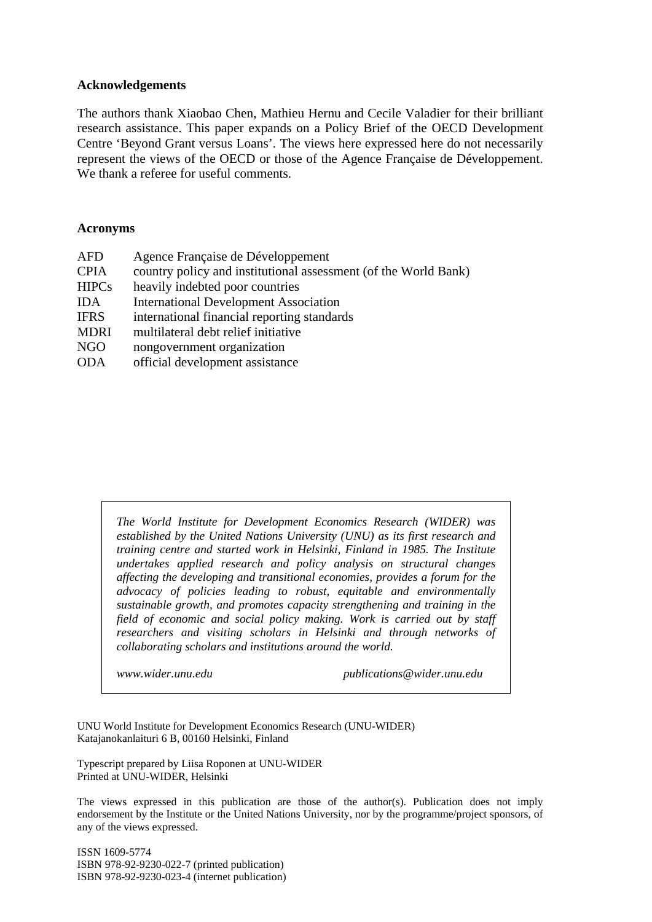## **Acknowledgements**

The authors thank Xiaobao Chen, Mathieu Hernu and Cecile Valadier for their brilliant research assistance. This paper expands on a Policy Brief of the OECD Development Centre 'Beyond Grant versus Loans'. The views here expressed here do not necessarily represent the views of the OECD or those of the Agence Française de Développement. We thank a referee for useful comments.

### **Acronyms**

- AFD Agence Française de Développement
- CPIA country policy and institutional assessment (of the World Bank)
- HIPCs heavily indebted poor countries
- IDA International Development Association
- IFRS international financial reporting standards
- MDRI multilateral debt relief initiative
- NGO nongovernment organization
- ODA official development assistance

*The World Institute for Development Economics Research (WIDER) was established by the United Nations University (UNU) as its first research and training centre and started work in Helsinki, Finland in 1985. The Institute undertakes applied research and policy analysis on structural changes affecting the developing and transitional economies, provides a forum for the advocacy of policies leading to robust, equitable and environmentally sustainable growth, and promotes capacity strengthening and training in the field of economic and social policy making. Work is carried out by staff researchers and visiting scholars in Helsinki and through networks of collaborating scholars and institutions around the world.* 

*www.wider.unu.edu publications@wider.unu.edu* 

UNU World Institute for Development Economics Research (UNU-WIDER) Katajanokanlaituri 6 B, 00160 Helsinki, Finland

Typescript prepared by Liisa Roponen at UNU-WIDER Printed at UNU-WIDER, Helsinki

The views expressed in this publication are those of the author(s). Publication does not imply endorsement by the Institute or the United Nations University, nor by the programme/project sponsors, of any of the views expressed.

ISSN 1609-5774 ISBN 978-92-9230-022-7 (printed publication) ISBN 978-92-9230-023-4 (internet publication)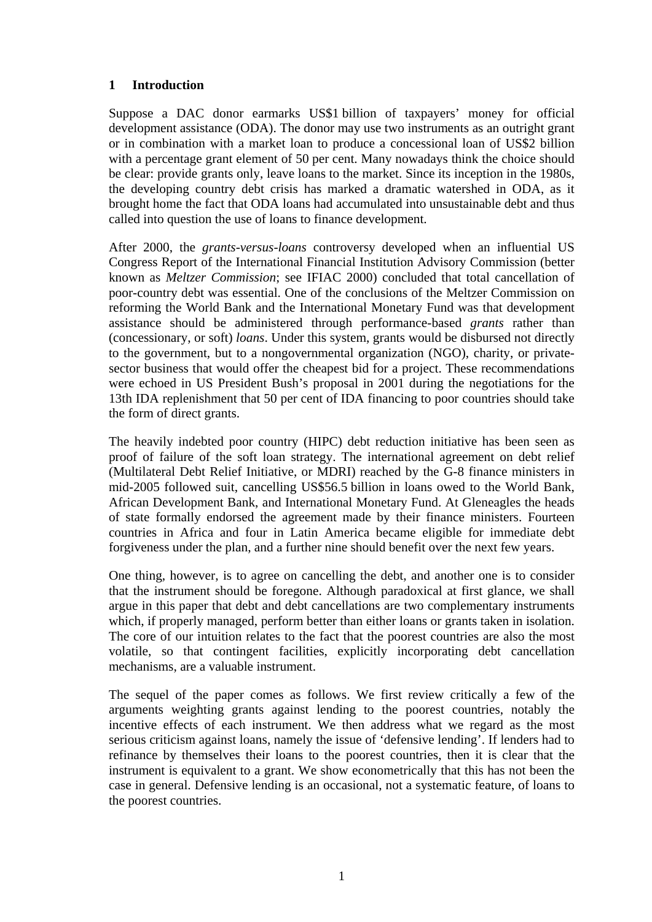# **1 Introduction**

Suppose a DAC donor earmarks US\$1 billion of taxpayers' money for official development assistance (ODA). The donor may use two instruments as an outright grant or in combination with a market loan to produce a concessional loan of US\$2 billion with a percentage grant element of 50 per cent. Many nowadays think the choice should be clear: provide grants only, leave loans to the market. Since its inception in the 1980s, the developing country debt crisis has marked a dramatic watershed in ODA, as it brought home the fact that ODA loans had accumulated into unsustainable debt and thus called into question the use of loans to finance development.

After 2000, the *grants-versus-loans* controversy developed when an influential US Congress Report of the International Financial Institution Advisory Commission (better known as *Meltzer Commission*; see IFIAC 2000) concluded that total cancellation of poor-country debt was essential. One of the conclusions of the Meltzer Commission on reforming the World Bank and the International Monetary Fund was that development assistance should be administered through performance-based *grants* rather than (concessionary, or soft) *loans*. Under this system, grants would be disbursed not directly to the government, but to a nongovernmental organization (NGO), charity, or privatesector business that would offer the cheapest bid for a project. These recommendations were echoed in US President Bush's proposal in 2001 during the negotiations for the 13th IDA replenishment that 50 per cent of IDA financing to poor countries should take the form of direct grants.

The heavily indebted poor country (HIPC) debt reduction initiative has been seen as proof of failure of the soft loan strategy. The international agreement on debt relief (Multilateral Debt Relief Initiative, or MDRI) reached by the G-8 finance ministers in mid-2005 followed suit, cancelling US\$56.5 billion in loans owed to the World Bank, African Development Bank, and International Monetary Fund. At Gleneagles the heads of state formally endorsed the agreement made by their finance ministers. Fourteen countries in Africa and four in Latin America became eligible for immediate debt forgiveness under the plan, and a further nine should benefit over the next few years.

One thing, however, is to agree on cancelling the debt, and another one is to consider that the instrument should be foregone. Although paradoxical at first glance, we shall argue in this paper that debt and debt cancellations are two complementary instruments which, if properly managed, perform better than either loans or grants taken in isolation. The core of our intuition relates to the fact that the poorest countries are also the most volatile, so that contingent facilities, explicitly incorporating debt cancellation mechanisms, are a valuable instrument.

The sequel of the paper comes as follows. We first review critically a few of the arguments weighting grants against lending to the poorest countries, notably the incentive effects of each instrument. We then address what we regard as the most serious criticism against loans, namely the issue of 'defensive lending'. If lenders had to refinance by themselves their loans to the poorest countries, then it is clear that the instrument is equivalent to a grant. We show econometrically that this has not been the case in general. Defensive lending is an occasional, not a systematic feature, of loans to the poorest countries.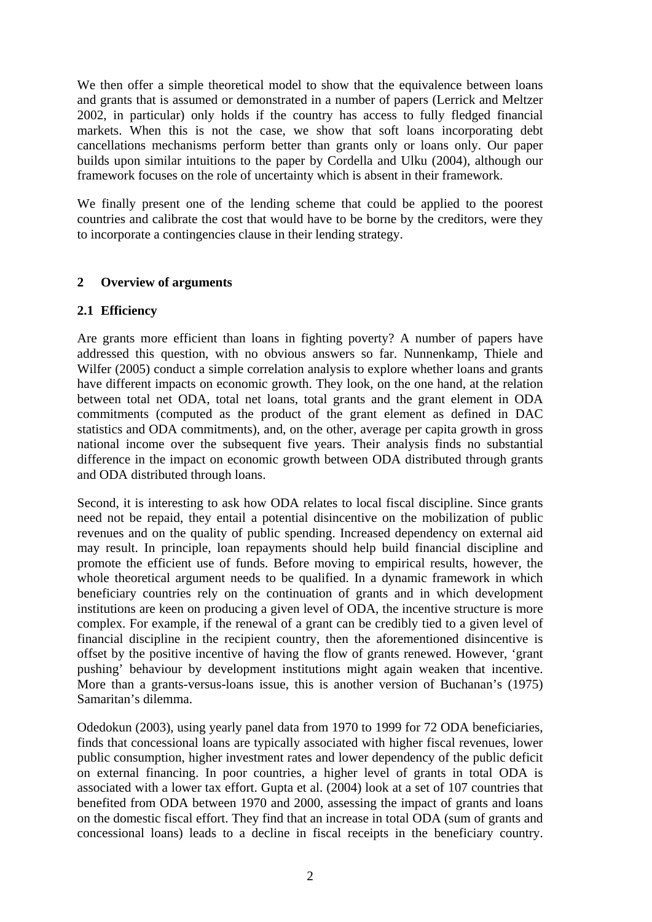We then offer a simple theoretical model to show that the equivalence between loans and grants that is assumed or demonstrated in a number of papers (Lerrick and Meltzer 2002, in particular) only holds if the country has access to fully fledged financial markets. When this is not the case, we show that soft loans incorporating debt cancellations mechanisms perform better than grants only or loans only. Our paper builds upon similar intuitions to the paper by Cordella and Ulku (2004), although our framework focuses on the role of uncertainty which is absent in their framework.

We finally present one of the lending scheme that could be applied to the poorest countries and calibrate the cost that would have to be borne by the creditors, were they to incorporate a contingencies clause in their lending strategy.

## **2 Overview of arguments**

## **2.1 Efficiency**

Are grants more efficient than loans in fighting poverty? A number of papers have addressed this question, with no obvious answers so far. Nunnenkamp, Thiele and Wilfer (2005) conduct a simple correlation analysis to explore whether loans and grants have different impacts on economic growth. They look, on the one hand, at the relation between total net ODA, total net loans, total grants and the grant element in ODA commitments (computed as the product of the grant element as defined in DAC statistics and ODA commitments), and, on the other, average per capita growth in gross national income over the subsequent five years. Their analysis finds no substantial difference in the impact on economic growth between ODA distributed through grants and ODA distributed through loans.

Second, it is interesting to ask how ODA relates to local fiscal discipline. Since grants need not be repaid, they entail a potential disincentive on the mobilization of public revenues and on the quality of public spending. Increased dependency on external aid may result. In principle, loan repayments should help build financial discipline and promote the efficient use of funds. Before moving to empirical results, however, the whole theoretical argument needs to be qualified. In a dynamic framework in which beneficiary countries rely on the continuation of grants and in which development institutions are keen on producing a given level of ODA, the incentive structure is more complex. For example, if the renewal of a grant can be credibly tied to a given level of financial discipline in the recipient country, then the aforementioned disincentive is offset by the positive incentive of having the flow of grants renewed. However, 'grant pushing' behaviour by development institutions might again weaken that incentive. More than a grants-versus-loans issue, this is another version of Buchanan's (1975) Samaritan's dilemma.

Odedokun (2003), using yearly panel data from 1970 to 1999 for 72 ODA beneficiaries, finds that concessional loans are typically associated with higher fiscal revenues, lower public consumption, higher investment rates and lower dependency of the public deficit on external financing. In poor countries, a higher level of grants in total ODA is associated with a lower tax effort. Gupta et al. (2004) look at a set of 107 countries that benefited from ODA between 1970 and 2000, assessing the impact of grants and loans on the domestic fiscal effort. They find that an increase in total ODA (sum of grants and concessional loans) leads to a decline in fiscal receipts in the beneficiary country.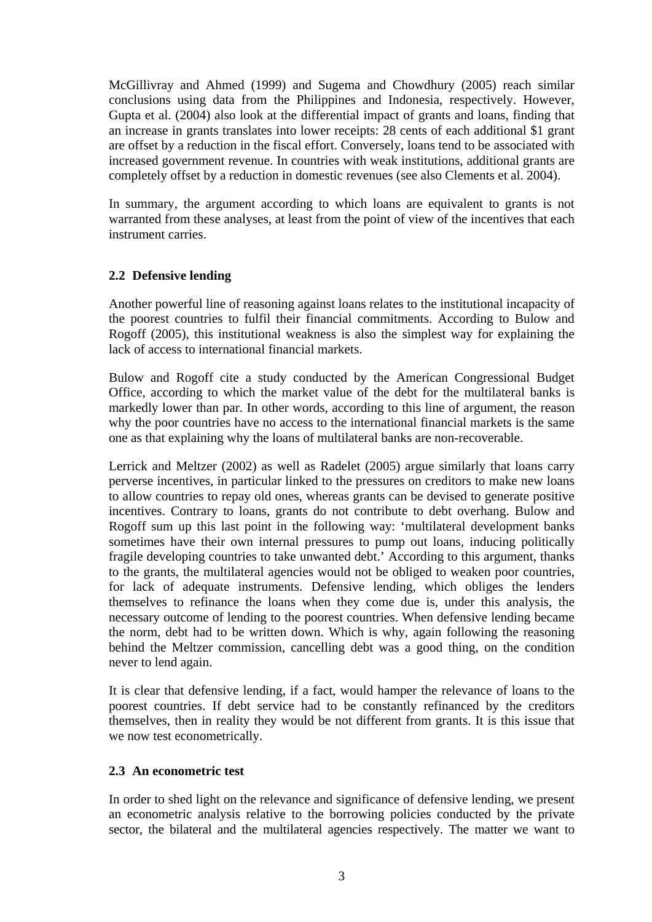McGillivray and Ahmed (1999) and Sugema and Chowdhury (2005) reach similar conclusions using data from the Philippines and Indonesia, respectively. However, Gupta et al. (2004) also look at the differential impact of grants and loans, finding that an increase in grants translates into lower receipts: 28 cents of each additional \$1 grant are offset by a reduction in the fiscal effort. Conversely, loans tend to be associated with increased government revenue. In countries with weak institutions, additional grants are completely offset by a reduction in domestic revenues (see also Clements et al. 2004).

In summary, the argument according to which loans are equivalent to grants is not warranted from these analyses, at least from the point of view of the incentives that each instrument carries.

# **2.2 Defensive lending**

Another powerful line of reasoning against loans relates to the institutional incapacity of the poorest countries to fulfil their financial commitments. According to Bulow and Rogoff (2005), this institutional weakness is also the simplest way for explaining the lack of access to international financial markets.

Bulow and Rogoff cite a study conducted by the American Congressional Budget Office, according to which the market value of the debt for the multilateral banks is markedly lower than par. In other words, according to this line of argument, the reason why the poor countries have no access to the international financial markets is the same one as that explaining why the loans of multilateral banks are non-recoverable.

Lerrick and Meltzer (2002) as well as Radelet (2005) argue similarly that loans carry perverse incentives, in particular linked to the pressures on creditors to make new loans to allow countries to repay old ones, whereas grants can be devised to generate positive incentives. Contrary to loans, grants do not contribute to debt overhang. Bulow and Rogoff sum up this last point in the following way: 'multilateral development banks sometimes have their own internal pressures to pump out loans, inducing politically fragile developing countries to take unwanted debt.' According to this argument, thanks to the grants, the multilateral agencies would not be obliged to weaken poor countries, for lack of adequate instruments. Defensive lending, which obliges the lenders themselves to refinance the loans when they come due is, under this analysis, the necessary outcome of lending to the poorest countries. When defensive lending became the norm, debt had to be written down. Which is why, again following the reasoning behind the Meltzer commission, cancelling debt was a good thing, on the condition never to lend again.

It is clear that defensive lending, if a fact, would hamper the relevance of loans to the poorest countries. If debt service had to be constantly refinanced by the creditors themselves, then in reality they would be not different from grants. It is this issue that we now test econometrically.

## **2.3 An econometric test**

In order to shed light on the relevance and significance of defensive lending, we present an econometric analysis relative to the borrowing policies conducted by the private sector, the bilateral and the multilateral agencies respectively. The matter we want to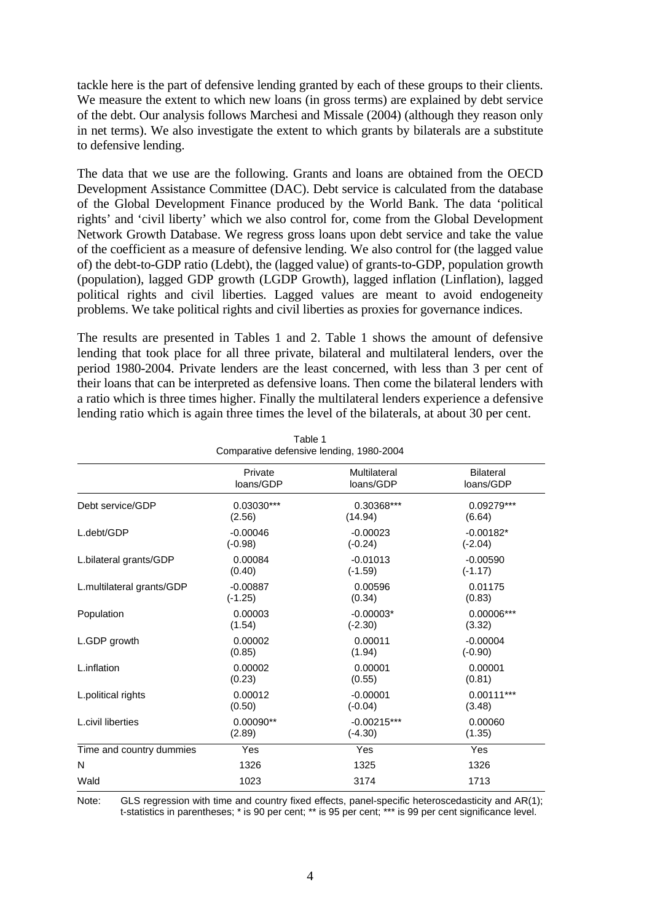tackle here is the part of defensive lending granted by each of these groups to their clients. We measure the extent to which new loans (in gross terms) are explained by debt service of the debt. Our analysis follows Marchesi and Missale (2004) (although they reason only in net terms). We also investigate the extent to which grants by bilaterals are a substitute to defensive lending.

The data that we use are the following. Grants and loans are obtained from the OECD Development Assistance Committee (DAC). Debt service is calculated from the database of the Global Development Finance produced by the World Bank. The data 'political rights' and 'civil liberty' which we also control for, come from the Global Development Network Growth Database. We regress gross loans upon debt service and take the value of the coefficient as a measure of defensive lending. We also control for (the lagged value of) the debt-to-GDP ratio (Ldebt), the (lagged value) of grants-to-GDP, population growth (population), lagged GDP growth (LGDP Growth), lagged inflation (Linflation), lagged political rights and civil liberties. Lagged values are meant to avoid endogeneity problems. We take political rights and civil liberties as proxies for governance indices.

The results are presented in Tables 1 and 2. Table 1 shows the amount of defensive lending that took place for all three private, bilateral and multilateral lenders, over the period 1980-2004. Private lenders are the least concerned, with less than 3 per cent of their loans that can be interpreted as defensive loans. Then come the bilateral lenders with a ratio which is three times higher. Finally the multilateral lenders experience a defensive lending ratio which is again three times the level of the bilaterals, at about 30 per cent.

|                           | Private      | Multilateral  | <b>Bilateral</b> |  |
|---------------------------|--------------|---------------|------------------|--|
|                           | loans/GDP    | loans/GDP     | loans/GDP        |  |
| Debt service/GDP          | $0.03030***$ | 0.30368***    | $0.09279***$     |  |
|                           | (2.56)       | (14.94)       | (6.64)           |  |
| L.debt/GDP                | $-0.00046$   | $-0.00023$    | $-0.00182*$      |  |
|                           | $(-0.98)$    | $(-0.24)$     | $(-2.04)$        |  |
| L.bilateral grants/GDP    | 0.00084      | $-0.01013$    | $-0.00590$       |  |
|                           | (0.40)       | $(-1.59)$     | $(-1.17)$        |  |
| L.multilateral grants/GDP | $-0.00887$   | 0.00596       | 0.01175          |  |
|                           | $(-1.25)$    | (0.34)        | (0.83)           |  |
| Population                | 0.00003      | $-0.00003*$   | $0.00006***$     |  |
|                           | (1.54)       | $(-2.30)$     | (3.32)           |  |
| L.GDP growth              | 0.00002      | 0.00011       | $-0.00004$       |  |
|                           | (0.85)       | (1.94)        | $(-0.90)$        |  |
| L.inflation               | 0.00002      | 0.00001       | 0.00001          |  |
|                           | (0.23)       | (0.55)        | (0.81)           |  |
| L.political rights        | 0.00012      | $-0.00001$    | $0.00111***$     |  |
|                           | (0.50)       | $(-0.04)$     | (3.48)           |  |
| L.civil liberties         | $0.00090**$  | $-0.00215***$ | 0.00060          |  |
|                           | (2.89)       | $(-4.30)$     | (1.35)           |  |
| Time and country dummies  | Yes          | Yes           | Yes              |  |
| N                         | 1326         | 1325          | 1326             |  |
| Wald                      | 1023         | 3174          | 1713             |  |
|                           |              |               |                  |  |

Table 1 Comparative defensive lending, 1980-2004

Note: GLS regression with time and country fixed effects, panel-specific heteroscedasticity and AR(1); t-statistics in parentheses; \* is 90 per cent; \*\* is 95 per cent; \*\*\* is 99 per cent significance level.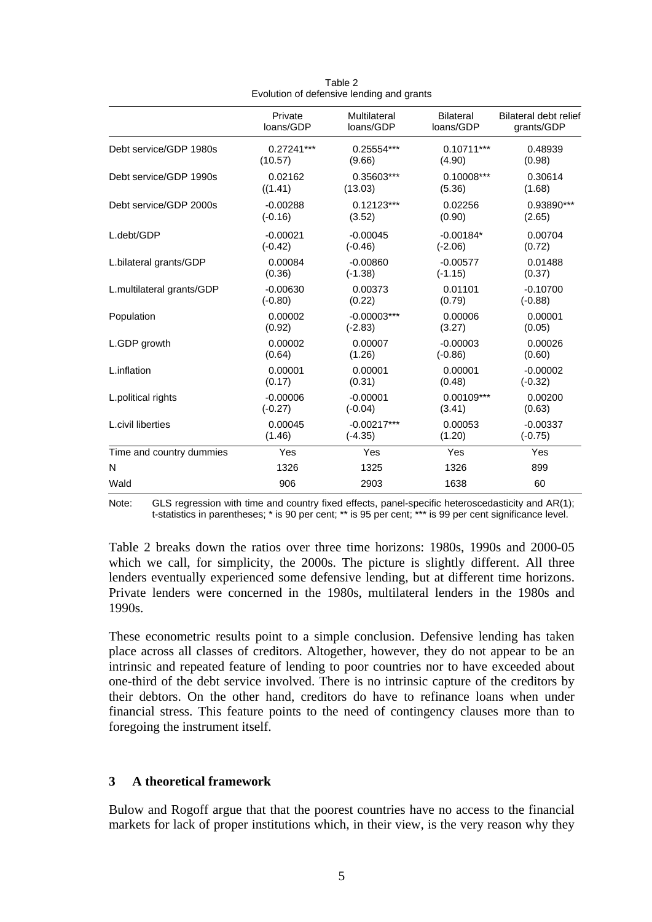|                           | Private      | Multilateral  | <b>Bilateral</b> | Bilateral debt relief |  |
|---------------------------|--------------|---------------|------------------|-----------------------|--|
|                           | loans/GDP    | loans/GDP     | loans/GDP        | grants/GDP            |  |
| Debt service/GDP 1980s    | $0.27241***$ | 0.25554***    | $0.10711***$     | 0.48939               |  |
|                           | (10.57)      | (9.66)        | (4.90)           | (0.98)                |  |
| Debt service/GDP 1990s    | 0.02162      | 0.35603***    | $0.10008***$     | 0.30614               |  |
|                           | ((1.41)      | (13.03)       | (5.36)           | (1.68)                |  |
| Debt service/GDP 2000s    | $-0.00288$   | $0.12123***$  | 0.02256          | 0.93890***            |  |
|                           | $(-0.16)$    | (3.52)        | (0.90)           | (2.65)                |  |
| L.debt/GDP                | $-0.00021$   | $-0.00045$    | $-0.00184*$      | 0.00704               |  |
|                           | $(-0.42)$    | $(-0.46)$     | $(-2.06)$        | (0.72)                |  |
| L.bilateral grants/GDP    | 0.00084      | $-0.00860$    | $-0.00577$       | 0.01488               |  |
|                           | (0.36)       | $(-1.38)$     | $(-1.15)$        | (0.37)                |  |
| L.multilateral grants/GDP | $-0.00630$   | 0.00373       | 0.01101          | $-0.10700$            |  |
|                           | $(-0.80)$    | (0.22)        | (0.79)           | $(-0.88)$             |  |
| Population                | 0.00002      | $-0.00003***$ | 0.00006          | 0.00001               |  |
|                           | (0.92)       | $(-2.83)$     | (3.27)           | (0.05)                |  |
| L.GDP growth              | 0.00002      | 0.00007       | $-0.00003$       | 0.00026               |  |
|                           | (0.64)       | (1.26)        | $(-0.86)$        | (0.60)                |  |
| L.inflation               | 0.00001      | 0.00001       | 0.00001          | $-0.00002$            |  |
|                           | (0.17)       | (0.31)        | (0.48)           | $(-0.32)$             |  |
| L.political rights        | $-0.00006$   | $-0.00001$    | $0.00109***$     | 0.00200               |  |
|                           | $(-0.27)$    | $(-0.04)$     | (3.41)           | (0.63)                |  |
| L.civil liberties         | 0.00045      | $-0.00217***$ | 0.00053          | $-0.00337$            |  |
|                           | (1.46)       | $(-4.35)$     | (1.20)           | $(-0.75)$             |  |
| Time and country dummies  | Yes          | Yes           | Yes              | Yes                   |  |
| N                         | 1326         | 1325          | 1326             | 899                   |  |
| Wald                      | 906          | 2903          | 1638             | 60                    |  |

Table 2 Evolution of defensive lending and grants

Note: GLS regression with time and country fixed effects, panel-specific heteroscedasticity and AR(1); t-statistics in parentheses; \* is 90 per cent; \*\* is 95 per cent; \*\*\* is 99 per cent significance level.

Table 2 breaks down the ratios over three time horizons: 1980s, 1990s and 2000-05 which we call, for simplicity, the 2000s. The picture is slightly different. All three lenders eventually experienced some defensive lending, but at different time horizons. Private lenders were concerned in the 1980s, multilateral lenders in the 1980s and 1990s.

These econometric results point to a simple conclusion. Defensive lending has taken place across all classes of creditors. Altogether, however, they do not appear to be an intrinsic and repeated feature of lending to poor countries nor to have exceeded about one-third of the debt service involved. There is no intrinsic capture of the creditors by their debtors. On the other hand, creditors do have to refinance loans when under financial stress. This feature points to the need of contingency clauses more than to foregoing the instrument itself.

## **3 A theoretical framework**

Bulow and Rogoff argue that that the poorest countries have no access to the financial markets for lack of proper institutions which, in their view, is the very reason why they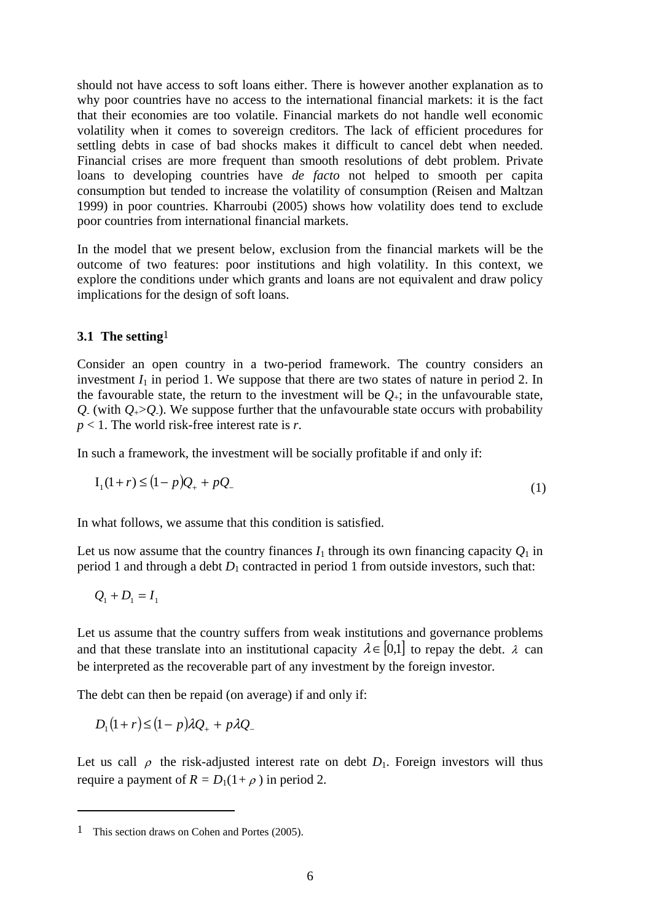should not have access to soft loans either. There is however another explanation as to why poor countries have no access to the international financial markets: it is the fact that their economies are too volatile. Financial markets do not handle well economic volatility when it comes to sovereign creditors. The lack of efficient procedures for settling debts in case of bad shocks makes it difficult to cancel debt when needed. Financial crises are more frequent than smooth resolutions of debt problem. Private loans to developing countries have *de facto* not helped to smooth per capita consumption but tended to increase the volatility of consumption (Reisen and Maltzan 1999) in poor countries. Kharroubi (2005) shows how volatility does tend to exclude poor countries from international financial markets.

In the model that we present below, exclusion from the financial markets will be the outcome of two features: poor institutions and high volatility. In this context, we explore the conditions under which grants and loans are not equivalent and draw policy implications for the design of soft loans.

## **3.1 The setting**1

Consider an open country in a two-period framework. The country considers an investment  $I_1$  in period 1. We suppose that there are two states of nature in period 2. In the favourable state, the return to the investment will be  $Q_+$ ; in the unfavourable state, *Q*<sub>-</sub> (with  $Q_+$ >*Q*<sub>-</sub>). We suppose further that the unfavourable state occurs with probability *p* < 1. The world risk-free interest rate is *r*.

In such a framework, the investment will be socially profitable if and only if:

$$
I_1(1+r) \le (1-p)Q_+ + pQ_- \tag{1}
$$

In what follows, we assume that this condition is satisfied.

Let us now assume that the country finances  $I_1$  through its own financing capacity  $Q_1$  in period 1 and through a debt  $D_1$  contracted in period 1 from outside investors, such that:

$$
Q_1 + D_1 = I_1
$$

 $\overline{a}$ 

Let us assume that the country suffers from weak institutions and governance problems and that these translate into an institutional capacity  $\lambda \in [0,1]$  to repay the debt.  $\lambda$  can be interpreted as the recoverable part of any investment by the foreign investor.

The debt can then be repaid (on average) if and only if:

$$
D_1(1+r) \leq (1-p)\lambda Q_+ + p\lambda Q_-
$$

Let us call  $\rho$  the risk-adjusted interest rate on debt  $D_1$ . Foreign investors will thus require a payment of  $R = D_1(1+\rho)$  in period 2.

<sup>1</sup> This section draws on Cohen and Portes (2005).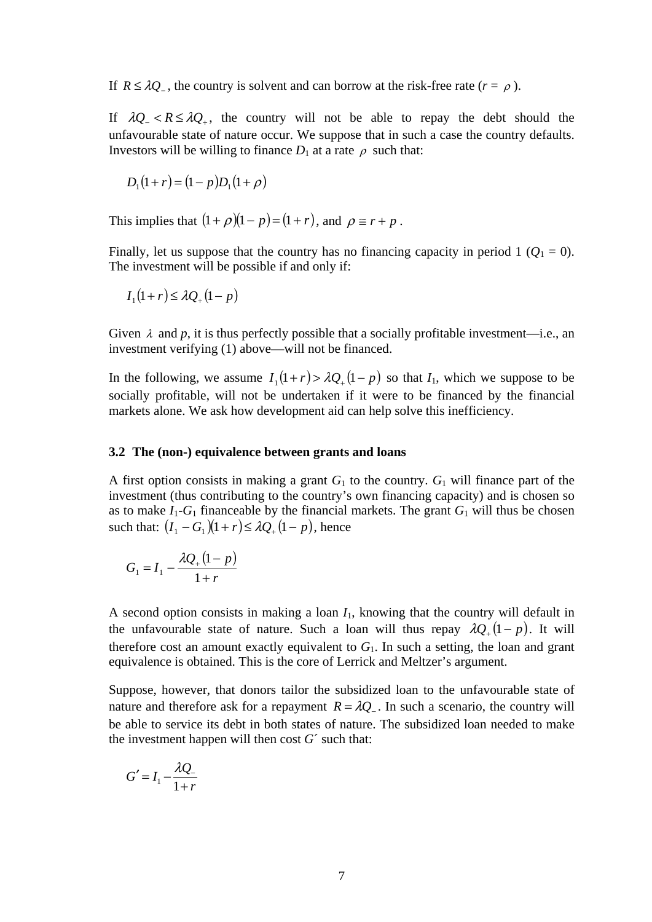If  $R \le \lambda Q$ , the country is solvent and can borrow at the risk-free rate ( $r = \rho$ ).

If  $\lambda Q_\text{z} < R \leq \lambda Q_\text{z}$ , the country will not be able to repay the debt should the unfavourable state of nature occur. We suppose that in such a case the country defaults. Investors will be willing to finance  $D_1$  at a rate  $\rho$  such that:

$$
D_1(1+r) = (1-p)D_1(1+\rho)
$$

This implies that  $(1 + \rho)(1 - p) = (1 + r)$ , and  $\rho \ge r + p$ .

Finally, let us suppose that the country has no financing capacity in period  $1 (Q_1 = 0)$ . The investment will be possible if and only if:

$$
I_1(1+r) \le \lambda Q_+(1-p)
$$

Given  $\lambda$  and  $p$ , it is thus perfectly possible that a socially profitable investment—i.e., an investment verifying (1) above—will not be financed.

In the following, we assume  $I_1(1+r) > \lambda Q_1(1-p)$  so that  $I_1$ , which we suppose to be socially profitable, will not be undertaken if it were to be financed by the financial markets alone. We ask how development aid can help solve this inefficiency.

### **3.2 The (non-) equivalence between grants and loans**

A first option consists in making a grant  $G_1$  to the country.  $G_1$  will finance part of the investment (thus contributing to the country's own financing capacity) and is chosen so as to make  $I_1$ - $G_1$  financeable by the financial markets. The grant  $G_1$  will thus be chosen such that:  $(I_1 - G_1)(1 + r) \le \lambda Q_+(1 - p)$ , hence

$$
G_1 = I_1 - \frac{\lambda Q_+(1-p)}{1+r}
$$

A second option consists in making a loan  $I_1$ , knowing that the country will default in the unfavourable state of nature. Such a loan will thus repay  $\lambda Q_{+}(1-p)$ . It will therefore cost an amount exactly equivalent to  $G_1$ . In such a setting, the loan and grant equivalence is obtained. This is the core of Lerrick and Meltzer's argument.

Suppose, however, that donors tailor the subsidized loan to the unfavourable state of nature and therefore ask for a repayment  $R = \lambda Q$ . In such a scenario, the country will be able to service its debt in both states of nature. The subsidized loan needed to make the investment happen will then cost  $G'$  such that:

$$
G'=I_1-\frac{\lambda Q_-}{1+r}
$$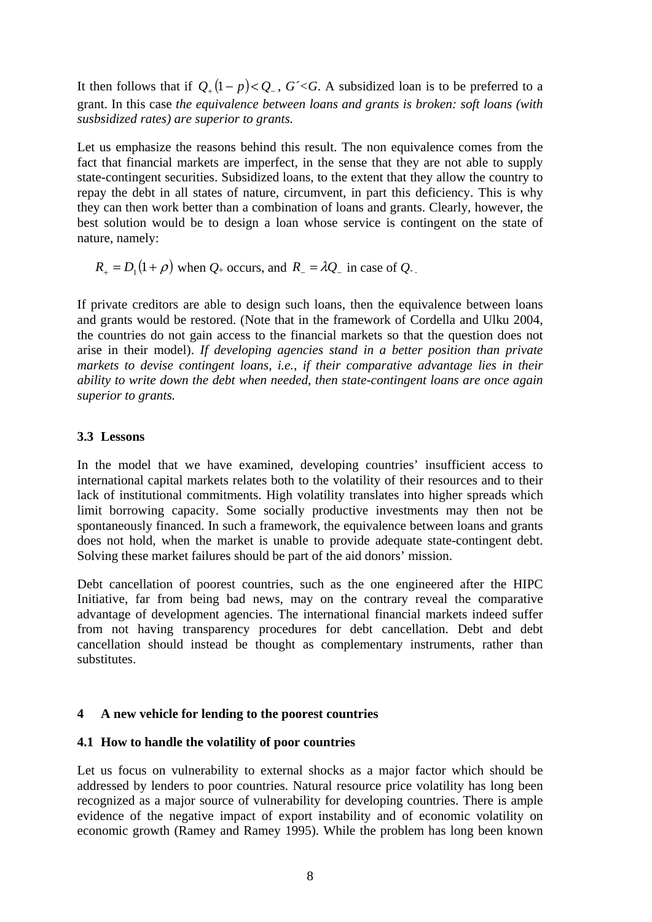It then follows that if  $Q_1(1-p) < Q_2$ ,  $G \leq G$ . A subsidized loan is to be preferred to a grant. In this case *the equivalence between loans and grants is broken: soft loans (with susbsidized rates) are superior to grants.*

Let us emphasize the reasons behind this result. The non equivalence comes from the fact that financial markets are imperfect, in the sense that they are not able to supply state-contingent securities. Subsidized loans, to the extent that they allow the country to repay the debt in all states of nature, circumvent, in part this deficiency. This is why they can then work better than a combination of loans and grants. Clearly, however, the best solution would be to design a loan whose service is contingent on the state of nature, namely:

 $R_+ = D_1 (1+\rho)$  when  $Q_+$  occurs, and  $R_- = \lambda Q_-$  in case of  $Q_-$ .

If private creditors are able to design such loans, then the equivalence between loans and grants would be restored. (Note that in the framework of Cordella and Ulku 2004, the countries do not gain access to the financial markets so that the question does not arise in their model). *If developing agencies stand in a better position than private markets to devise contingent loans, i.e., if their comparative advantage lies in their ability to write down the debt when needed, then state-contingent loans are once again superior to grants.*

## **3.3 Lessons**

In the model that we have examined, developing countries' insufficient access to international capital markets relates both to the volatility of their resources and to their lack of institutional commitments. High volatility translates into higher spreads which limit borrowing capacity. Some socially productive investments may then not be spontaneously financed. In such a framework, the equivalence between loans and grants does not hold, when the market is unable to provide adequate state-contingent debt. Solving these market failures should be part of the aid donors' mission.

Debt cancellation of poorest countries, such as the one engineered after the HIPC Initiative, far from being bad news, may on the contrary reveal the comparative advantage of development agencies. The international financial markets indeed suffer from not having transparency procedures for debt cancellation. Debt and debt cancellation should instead be thought as complementary instruments, rather than substitutes.

## **4 A new vehicle for lending to the poorest countries**

### **4.1 How to handle the volatility of poor countries**

Let us focus on vulnerability to external shocks as a major factor which should be addressed by lenders to poor countries. Natural resource price volatility has long been recognized as a major source of vulnerability for developing countries. There is ample evidence of the negative impact of export instability and of economic volatility on economic growth (Ramey and Ramey 1995). While the problem has long been known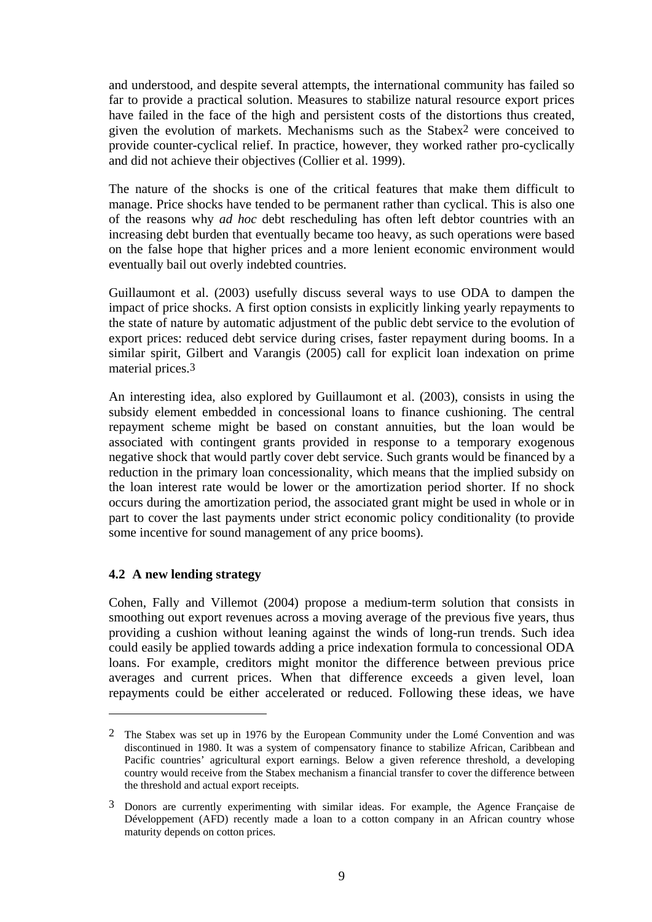and understood, and despite several attempts, the international community has failed so far to provide a practical solution. Measures to stabilize natural resource export prices have failed in the face of the high and persistent costs of the distortions thus created, given the evolution of markets. Mechanisms such as the Stabex2 were conceived to provide counter-cyclical relief. In practice, however, they worked rather pro-cyclically and did not achieve their objectives (Collier et al. 1999).

The nature of the shocks is one of the critical features that make them difficult to manage. Price shocks have tended to be permanent rather than cyclical. This is also one of the reasons why *ad hoc* debt rescheduling has often left debtor countries with an increasing debt burden that eventually became too heavy, as such operations were based on the false hope that higher prices and a more lenient economic environment would eventually bail out overly indebted countries.

Guillaumont et al. (2003) usefully discuss several ways to use ODA to dampen the impact of price shocks. A first option consists in explicitly linking yearly repayments to the state of nature by automatic adjustment of the public debt service to the evolution of export prices: reduced debt service during crises, faster repayment during booms. In a similar spirit, Gilbert and Varangis (2005) call for explicit loan indexation on prime material prices.3

An interesting idea, also explored by Guillaumont et al. (2003), consists in using the subsidy element embedded in concessional loans to finance cushioning. The central repayment scheme might be based on constant annuities, but the loan would be associated with contingent grants provided in response to a temporary exogenous negative shock that would partly cover debt service. Such grants would be financed by a reduction in the primary loan concessionality, which means that the implied subsidy on the loan interest rate would be lower or the amortization period shorter. If no shock occurs during the amortization period, the associated grant might be used in whole or in part to cover the last payments under strict economic policy conditionality (to provide some incentive for sound management of any price booms).

## **4.2 A new lending strategy**

1

Cohen, Fally and Villemot (2004) propose a medium-term solution that consists in smoothing out export revenues across a moving average of the previous five years, thus providing a cushion without leaning against the winds of long-run trends. Such idea could easily be applied towards adding a price indexation formula to concessional ODA loans. For example, creditors might monitor the difference between previous price averages and current prices. When that difference exceeds a given level, loan repayments could be either accelerated or reduced. Following these ideas, we have

<sup>2</sup> The Stabex was set up in 1976 by the European Community under the Lomé Convention and was discontinued in 1980. It was a system of compensatory finance to stabilize African, Caribbean and Pacific countries' agricultural export earnings. Below a given reference threshold, a developing country would receive from the Stabex mechanism a financial transfer to cover the difference between the threshold and actual export receipts.

<sup>3</sup> Donors are currently experimenting with similar ideas. For example, the Agence Française de Développement (AFD) recently made a loan to a cotton company in an African country whose maturity depends on cotton prices.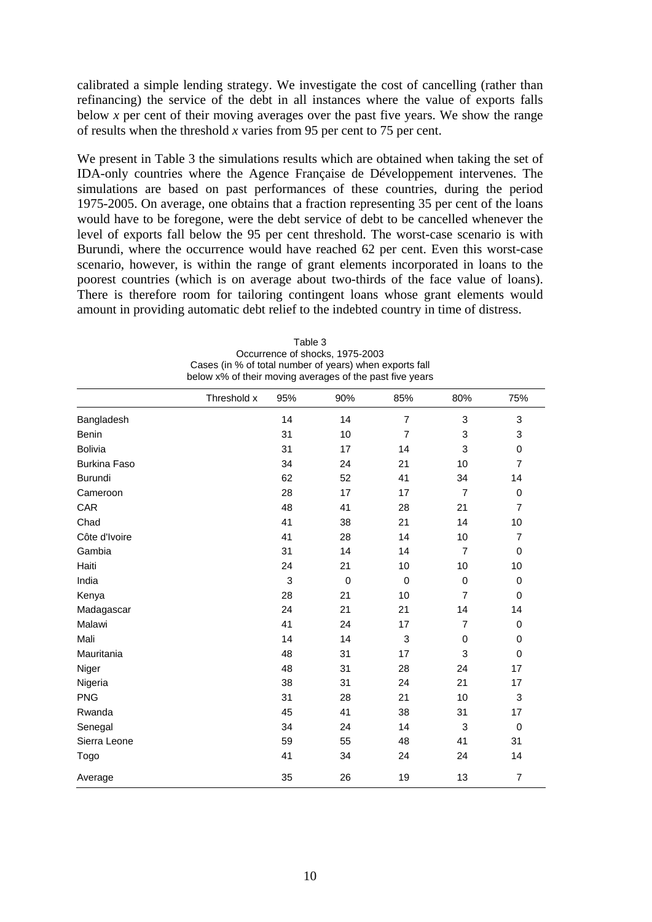calibrated a simple lending strategy. We investigate the cost of cancelling (rather than refinancing) the service of the debt in all instances where the value of exports falls below *x* per cent of their moving averages over the past five years. We show the range of results when the threshold *x* varies from 95 per cent to 75 per cent.

We present in Table 3 the simulations results which are obtained when taking the set of IDA-only countries where the Agence Française de Développement intervenes. The simulations are based on past performances of these countries, during the period 1975-2005. On average, one obtains that a fraction representing 35 per cent of the loans would have to be foregone, were the debt service of debt to be cancelled whenever the level of exports fall below the 95 per cent threshold. The worst-case scenario is with Burundi, where the occurrence would have reached 62 per cent. Even this worst-case scenario, however, is within the range of grant elements incorporated in loans to the poorest countries (which is on average about two-thirds of the face value of loans). There is therefore room for tailoring contingent loans whose grant elements would amount in providing automatic debt relief to the indebted country in time of distress.

|                     | Threshold x | 95% | ັ<br>90%    | 85%            | 80%            | 75%            |
|---------------------|-------------|-----|-------------|----------------|----------------|----------------|
| Bangladesh          |             | 14  | 14          | $\overline{7}$ | 3              | 3              |
| Benin               |             | 31  | 10          | $\overline{7}$ | 3              | 3              |
| <b>Bolivia</b>      |             | 31  | 17          | 14             | 3              | 0              |
| <b>Burkina Faso</b> |             | 34  | 24          | 21             | 10             | $\overline{7}$ |
| Burundi             |             | 62  | 52          | 41             | 34             | 14             |
| Cameroon            |             | 28  | 17          | 17             | $\overline{7}$ | $\pmb{0}$      |
| CAR                 |             | 48  | 41          | 28             | 21             | 7              |
| Chad                |             | 41  | 38          | 21             | 14             | 10             |
| Côte d'Ivoire       |             | 41  | 28          | 14             | 10             | 7              |
| Gambia              |             | 31  | 14          | 14             | $\overline{7}$ | 0              |
| Haiti               |             | 24  | 21          | 10             | 10             | 10             |
| India               |             | 3   | $\mathbf 0$ | $\mathbf 0$    | $\pmb{0}$      | $\pmb{0}$      |
| Kenya               |             | 28  | 21          | 10             | $\overline{7}$ | $\mathbf 0$    |
| Madagascar          |             | 24  | 21          | 21             | 14             | 14             |
| Malawi              |             | 41  | 24          | 17             | $\overline{7}$ | $\pmb{0}$      |
| Mali                |             | 14  | 14          | 3              | $\mathbf 0$    | 0              |
| Mauritania          |             | 48  | 31          | 17             | 3              | $\mathbf 0$    |
| Niger               |             | 48  | 31          | 28             | 24             | 17             |
| Nigeria             |             | 38  | 31          | 24             | 21             | 17             |
| <b>PNG</b>          |             | 31  | 28          | 21             | 10             | 3              |
| Rwanda              |             | 45  | 41          | 38             | 31             | 17             |
| Senegal             |             | 34  | 24          | 14             | 3              | $\pmb{0}$      |
| Sierra Leone        |             | 59  | 55          | 48             | 41             | 31             |
| Togo                |             | 41  | 34          | 24             | 24             | 14             |
| Average             |             | 35  | 26          | 19             | 13             | $\overline{7}$ |

Table 3 Occurrence of shocks, 1975-2003 Cases (in % of total number of years) when exports fall below x% of their moving averages of the past five years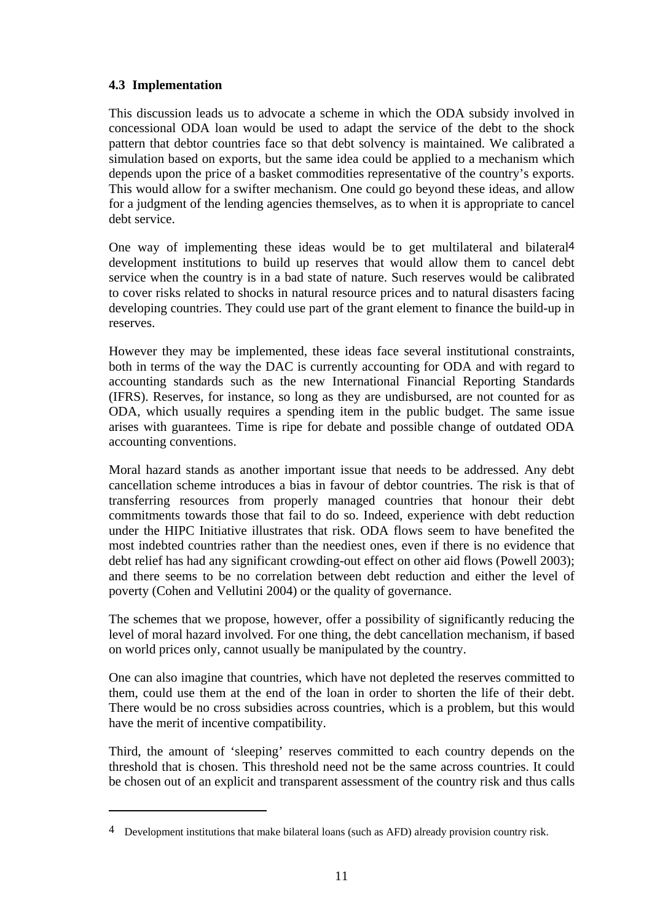# **4.3 Implementation**

1

This discussion leads us to advocate a scheme in which the ODA subsidy involved in concessional ODA loan would be used to adapt the service of the debt to the shock pattern that debtor countries face so that debt solvency is maintained. We calibrated a simulation based on exports, but the same idea could be applied to a mechanism which depends upon the price of a basket commodities representative of the country's exports. This would allow for a swifter mechanism. One could go beyond these ideas, and allow for a judgment of the lending agencies themselves, as to when it is appropriate to cancel debt service.

One way of implementing these ideas would be to get multilateral and bilateral4 development institutions to build up reserves that would allow them to cancel debt service when the country is in a bad state of nature. Such reserves would be calibrated to cover risks related to shocks in natural resource prices and to natural disasters facing developing countries. They could use part of the grant element to finance the build-up in reserves.

However they may be implemented, these ideas face several institutional constraints, both in terms of the way the DAC is currently accounting for ODA and with regard to accounting standards such as the new International Financial Reporting Standards (IFRS). Reserves, for instance, so long as they are undisbursed, are not counted for as ODA, which usually requires a spending item in the public budget. The same issue arises with guarantees. Time is ripe for debate and possible change of outdated ODA accounting conventions.

Moral hazard stands as another important issue that needs to be addressed. Any debt cancellation scheme introduces a bias in favour of debtor countries. The risk is that of transferring resources from properly managed countries that honour their debt commitments towards those that fail to do so. Indeed, experience with debt reduction under the HIPC Initiative illustrates that risk. ODA flows seem to have benefited the most indebted countries rather than the neediest ones, even if there is no evidence that debt relief has had any significant crowding-out effect on other aid flows (Powell 2003); and there seems to be no correlation between debt reduction and either the level of poverty (Cohen and Vellutini 2004) or the quality of governance.

The schemes that we propose, however, offer a possibility of significantly reducing the level of moral hazard involved. For one thing, the debt cancellation mechanism, if based on world prices only, cannot usually be manipulated by the country.

One can also imagine that countries, which have not depleted the reserves committed to them, could use them at the end of the loan in order to shorten the life of their debt. There would be no cross subsidies across countries, which is a problem, but this would have the merit of incentive compatibility.

Third, the amount of 'sleeping' reserves committed to each country depends on the threshold that is chosen. This threshold need not be the same across countries. It could be chosen out of an explicit and transparent assessment of the country risk and thus calls

<sup>4</sup> Development institutions that make bilateral loans (such as AFD) already provision country risk.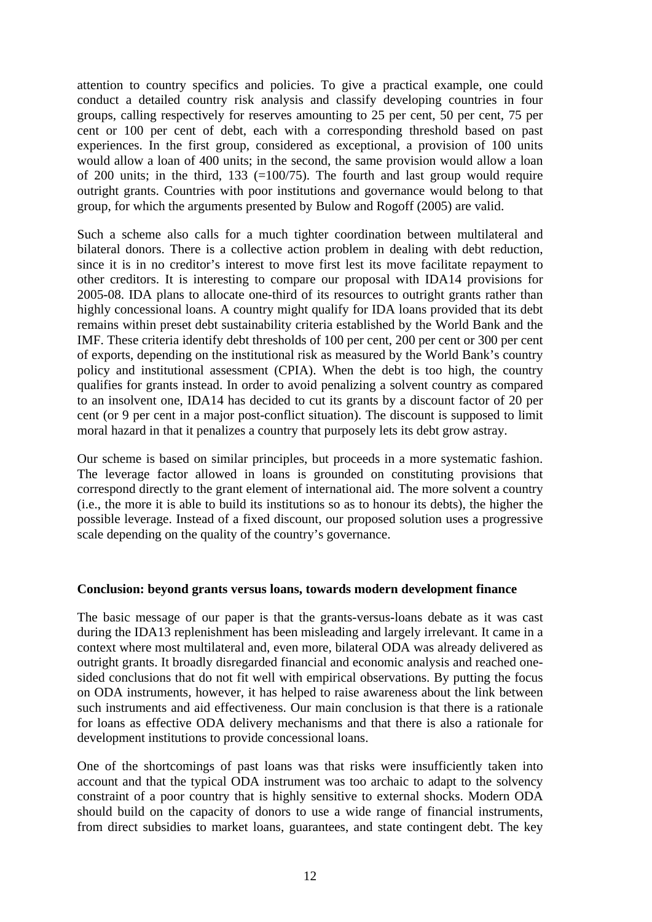attention to country specifics and policies. To give a practical example, one could conduct a detailed country risk analysis and classify developing countries in four groups, calling respectively for reserves amounting to 25 per cent, 50 per cent, 75 per cent or 100 per cent of debt, each with a corresponding threshold based on past experiences. In the first group, considered as exceptional, a provision of 100 units would allow a loan of 400 units; in the second, the same provision would allow a loan of 200 units; in the third, 133  $(=100/75)$ . The fourth and last group would require outright grants. Countries with poor institutions and governance would belong to that group, for which the arguments presented by Bulow and Rogoff (2005) are valid.

Such a scheme also calls for a much tighter coordination between multilateral and bilateral donors. There is a collective action problem in dealing with debt reduction, since it is in no creditor's interest to move first lest its move facilitate repayment to other creditors. It is interesting to compare our proposal with IDA14 provisions for 2005-08. IDA plans to allocate one-third of its resources to outright grants rather than highly concessional loans. A country might qualify for IDA loans provided that its debt remains within preset debt sustainability criteria established by the World Bank and the IMF. These criteria identify debt thresholds of 100 per cent, 200 per cent or 300 per cent of exports, depending on the institutional risk as measured by the World Bank's country policy and institutional assessment (CPIA). When the debt is too high, the country qualifies for grants instead. In order to avoid penalizing a solvent country as compared to an insolvent one, IDA14 has decided to cut its grants by a discount factor of 20 per cent (or 9 per cent in a major post-conflict situation). The discount is supposed to limit moral hazard in that it penalizes a country that purposely lets its debt grow astray.

Our scheme is based on similar principles, but proceeds in a more systematic fashion. The leverage factor allowed in loans is grounded on constituting provisions that correspond directly to the grant element of international aid. The more solvent a country (i.e., the more it is able to build its institutions so as to honour its debts), the higher the possible leverage. Instead of a fixed discount, our proposed solution uses a progressive scale depending on the quality of the country's governance.

### **Conclusion: beyond grants versus loans, towards modern development finance**

The basic message of our paper is that the grants-versus-loans debate as it was cast during the IDA13 replenishment has been misleading and largely irrelevant. It came in a context where most multilateral and, even more, bilateral ODA was already delivered as outright grants. It broadly disregarded financial and economic analysis and reached onesided conclusions that do not fit well with empirical observations. By putting the focus on ODA instruments, however, it has helped to raise awareness about the link between such instruments and aid effectiveness. Our main conclusion is that there is a rationale for loans as effective ODA delivery mechanisms and that there is also a rationale for development institutions to provide concessional loans.

One of the shortcomings of past loans was that risks were insufficiently taken into account and that the typical ODA instrument was too archaic to adapt to the solvency constraint of a poor country that is highly sensitive to external shocks. Modern ODA should build on the capacity of donors to use a wide range of financial instruments, from direct subsidies to market loans, guarantees, and state contingent debt. The key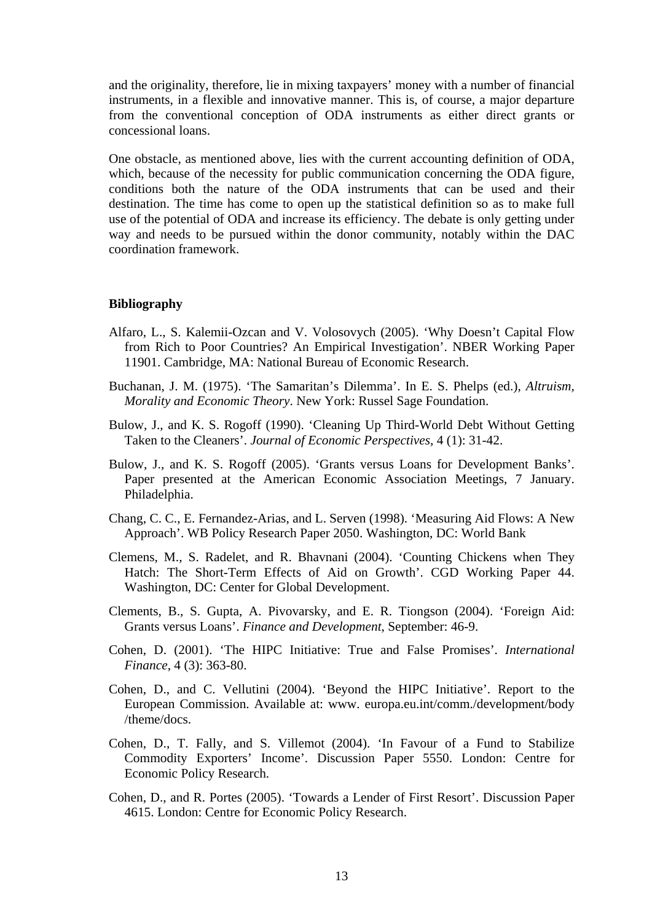and the originality, therefore, lie in mixing taxpayers' money with a number of financial instruments, in a flexible and innovative manner. This is, of course, a major departure from the conventional conception of ODA instruments as either direct grants or concessional loans.

One obstacle, as mentioned above, lies with the current accounting definition of ODA, which, because of the necessity for public communication concerning the ODA figure, conditions both the nature of the ODA instruments that can be used and their destination. The time has come to open up the statistical definition so as to make full use of the potential of ODA and increase its efficiency. The debate is only getting under way and needs to be pursued within the donor community, notably within the DAC coordination framework.

### **Bibliography**

- Alfaro, L., S. Kalemii-Ozcan and V. Volosovych (2005). 'Why Doesn't Capital Flow from Rich to Poor Countries? An Empirical Investigation'. NBER Working Paper 11901. Cambridge, MA: National Bureau of Economic Research.
- Buchanan, J. M. (1975). 'The Samaritan's Dilemma'. In E. S. Phelps (ed.), *Altruism, Morality and Economic Theory*. New York: Russel Sage Foundation.
- Bulow, J., and K. S. Rogoff (1990). 'Cleaning Up Third-World Debt Without Getting Taken to the Cleaners'. *Journal of Economic Perspectives*, 4 (1): 31-42.
- Bulow, J., and K. S. Rogoff (2005). 'Grants versus Loans for Development Banks'. Paper presented at the American Economic Association Meetings, 7 January. Philadelphia.
- Chang, C. C., E. Fernandez-Arias, and L. Serven (1998). 'Measuring Aid Flows: A New Approach'. WB Policy Research Paper 2050. Washington, DC: World Bank
- Clemens, M., S. Radelet, and R. Bhavnani (2004). 'Counting Chickens when They Hatch: The Short-Term Effects of Aid on Growth'. CGD Working Paper 44. Washington, DC: Center for Global Development.
- Clements, B., S. Gupta, A. Pivovarsky, and E. R. Tiongson (2004). 'Foreign Aid: Grants versus Loans'. *Finance and Development*, September: 46-9.
- Cohen, D. (2001). 'The HIPC Initiative: True and False Promises'. *International Finance*, 4 (3): 363-80.
- Cohen, D., and C. Vellutini (2004). 'Beyond the HIPC Initiative'. Report to the European Commission. Available at: www. europa.eu.int/comm./development/body /theme/docs.
- Cohen, D., T. Fally, and S. Villemot (2004). 'In Favour of a Fund to Stabilize Commodity Exporters' Income'. Discussion Paper 5550. London: Centre for Economic Policy Research.
- Cohen, D., and R. Portes (2005). 'Towards a Lender of First Resort'. Discussion Paper 4615. London: Centre for Economic Policy Research.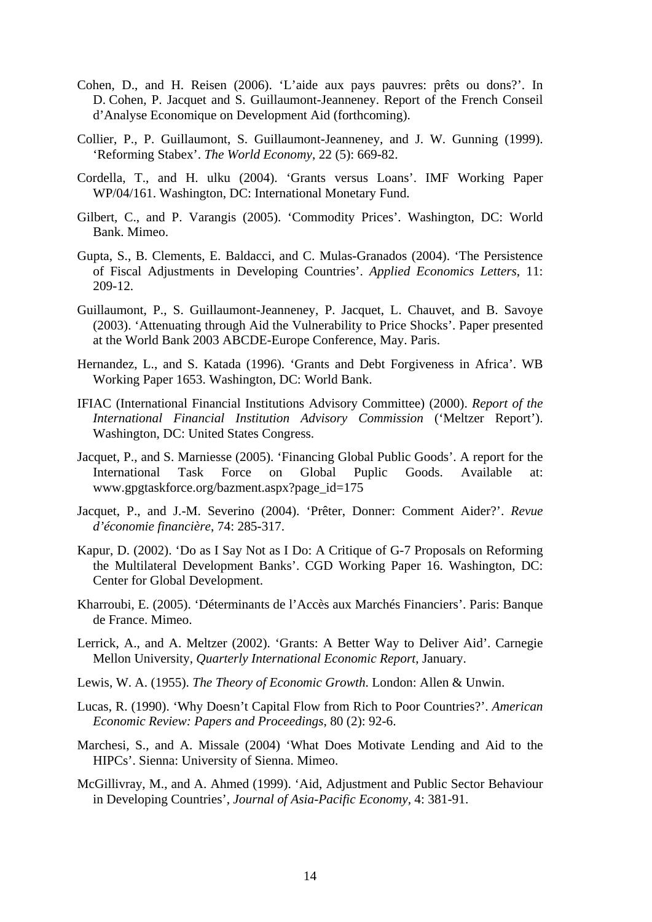- Cohen, D., and H. Reisen (2006). 'L'aide aux pays pauvres: prêts ou dons?'. In D. Cohen, P. Jacquet and S. Guillaumont-Jeanneney. Report of the French Conseil d'Analyse Economique on Development Aid (forthcoming).
- Collier, P., P. Guillaumont, S. Guillaumont-Jeanneney, and J. W. Gunning (1999). 'Reforming Stabex'. *The World Economy*, 22 (5): 669-82.
- Cordella, T., and H. ulku (2004). 'Grants versus Loans'. IMF Working Paper WP/04/161. Washington, DC: International Monetary Fund.
- Gilbert, C., and P. Varangis (2005). 'Commodity Prices'. Washington, DC: World Bank. Mimeo.
- Gupta, S., B. Clements, E. Baldacci, and C. Mulas-Granados (2004). 'The Persistence of Fiscal Adjustments in Developing Countries'. *Applied Economics Letters*, 11: 209-12.
- Guillaumont, P., S. Guillaumont-Jeanneney, P. Jacquet, L. Chauvet, and B. Savoye (2003). 'Attenuating through Aid the Vulnerability to Price Shocks'. Paper presented at the World Bank 2003 ABCDE-Europe Conference, May. Paris.
- Hernandez, L., and S. Katada (1996). 'Grants and Debt Forgiveness in Africa'. WB Working Paper 1653. Washington, DC: World Bank.
- IFIAC (International Financial Institutions Advisory Committee) (2000). *Report of the International Financial Institution Advisory Commission* ('Meltzer Report'). Washington, DC: United States Congress.
- Jacquet, P., and S. Marniesse (2005). 'Financing Global Public Goods'. A report for the International Task Force on Global Puplic Goods. Available at: www.gpgtaskforce.org/bazment.aspx?page\_id=175
- Jacquet, P., and J.-M. Severino (2004). 'Prêter, Donner: Comment Aider?'. *Revue d'économie financière*, 74: 285-317.
- Kapur, D. (2002). 'Do as I Say Not as I Do: A Critique of G-7 Proposals on Reforming the Multilateral Development Banks'. CGD Working Paper 16. Washington, DC: Center for Global Development.
- Kharroubi, E. (2005). 'Déterminants de l'Accès aux Marchés Financiers'. Paris: Banque de France. Mimeo.
- Lerrick, A., and A. Meltzer (2002). 'Grants: A Better Way to Deliver Aid'. Carnegie Mellon University, *Quarterly International Economic Report*, January.
- Lewis, W. A. (1955). *The Theory of Economic Growth*. London: Allen & Unwin.
- Lucas, R. (1990). 'Why Doesn't Capital Flow from Rich to Poor Countries?'. *American Economic Review: Papers and Proceedings*, 80 (2): 92-6.
- Marchesi, S., and A. Missale (2004) 'What Does Motivate Lending and Aid to the HIPCs'. Sienna: University of Sienna. Mimeo.
- McGillivray, M., and A. Ahmed (1999). 'Aid, Adjustment and Public Sector Behaviour in Developing Countries', *Journal of Asia-Pacific Economy*, 4: 381-91.